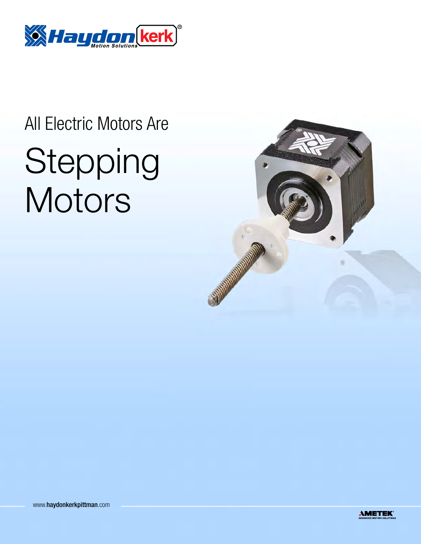

## All Electric Motors Are Stepping **Motors**



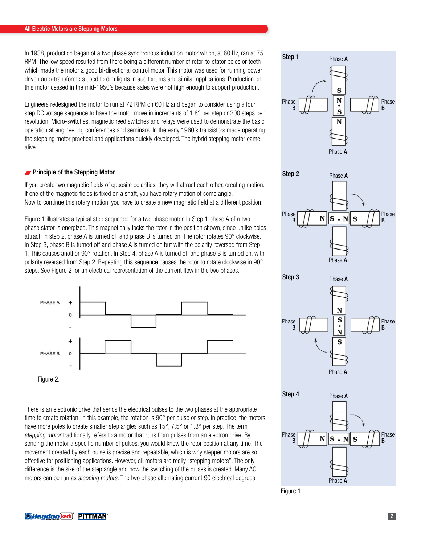In 1938, production began of a two phase synchronous induction motor which, at 60 Hz, ran at 75 RPM. The low speed resulted from there being a different number of rotor-to-stator poles or teeth which made the motor a good bi-directional control motor. This motor was used for running power driven auto-transformers used to dim lights in auditoriums and similar applications. Production on this motor ceased in the mid-1950's because sales were not high enough to support production.

Engineers redesigned the motor to run at 72 RPM on 60 Hz and began to consider using a four step DC voltage sequence to have the motor move in increments of 1.8° per step or 200 steps per revolution. Micro-switches, magnetic reed switches and relays were used to demonstrate the basic operation at engineering conferences and seminars. In the early 1960's transistors made operating the stepping motor practical and applications quickly developed. The hybrid stepping motor came alive.

## **Principle of the Stepping Motor**

If you create two magnetic fields of opposite polarities, they will attract each other, creating motion. If one of the magnetic fields is fixed on a shaft, you have rotary motion of some angle. Now to continue this rotary motion, you have to create a new magnetic field at a different position.

Figure 1 illustrates a typical step sequence for a two phase motor. In Step 1 phase A of a two phase stator is energized. This magnetically locks the rotor in the position shown, since unlike poles attract. In step 2, phase A is turned off and phase B is turned on. The rotor rotates 90° clockwise. In Step 3, phase B is turned off and phase A is turned on but with the polarity reversed from Step 1. This causes another 90° rotation. In Step 4, phase A is turned off and phase B is turned on, with polarity reversed from Step 2. Repeating this sequence causes the rotor to rotate clockwise in 90° steps. See Figure 2 for an electrical representation of the current flow in the two phases.



Figure 2.

There is an electronic drive that sends the electrical pulses to the two phases at the appropriate time to create rotation. In this example, the rotation is 90° per pulse or step. In practice, the motors have more poles to create smaller step angles such as 15°, 7.5° or 1.8° per step. The term stepping motor traditionally refers to a motor that runs from pulses from an electron drive. By sending the motor a specific number of pulses, you would know the rotor position at any time. The movement created by each pulse is precise and repeatable, which is why stepper motors are so effective for positioning applications. However, all motors are really "stepping motors". The only difference is the size of the step angle and how the switching of the pulses is created. Many AC motors can be run as stepping motors. The two phase alternating current 90 electrical degrees



Phase **A** 

Figure 1.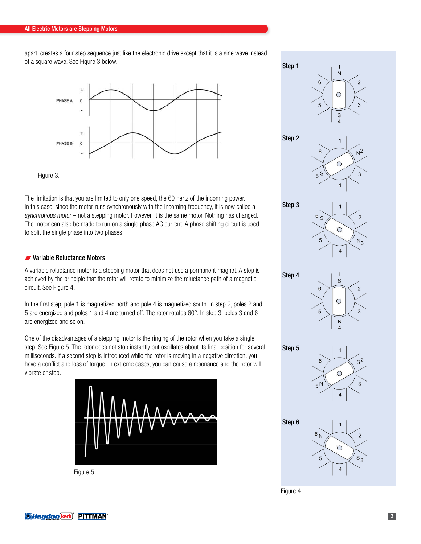apart, creates a four step sequence just like the electronic drive except that it is a sine wave instead of a square wave. See Figure 3 below.



Figure 3.

The limitation is that you are limited to only one speed, the 60 hertz of the incoming power. In this case, since the motor runs synchronously with the incoming frequency, it is now called a synchronous motor – not a stepping motor. However, it is the same motor. Nothing has changed. The motor can also be made to run on a single phase AC current. A phase shifting circuit is used to split the single phase into two phases.

## Variable Reluctance Motors

A variable reluctance motor is a stepping motor that does not use a permanent magnet. A step is achieved by the principle that the rotor will rotate to minimize the reluctance path of a magnetic circuit. See Figure 4.

In the first step, pole 1 is magnetized north and pole 4 is magnetized south. In step 2, poles 2 and 5 are energized and poles 1 and 4 are turned off. The rotor rotates 60°. In step 3, poles 3 and 6 are energized and so on.

One of the disadvantages of a stepping motor is the ringing of the rotor when you take a single step. See Figure 5. The rotor does not stop instantly but oscillates about its final position for several milliseconds. If a second step is introduced while the rotor is moving in a negative direction, you have a conflict and loss of torque. In extreme cases, you can cause a resonance and the rotor will vibrate or stop.



Figure 5.